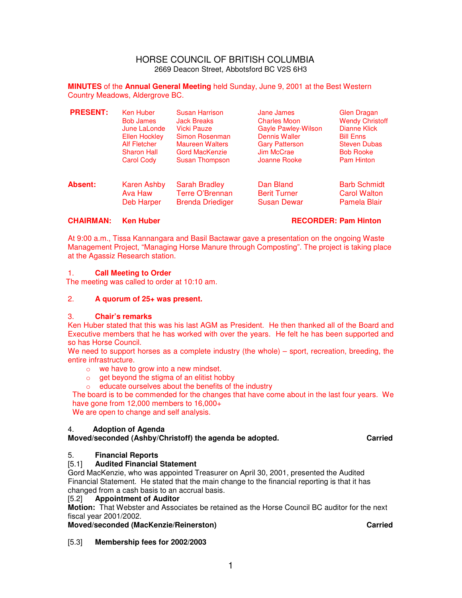#### HORSE COUNCIL OF BRITISH COLUMBIA 2669 Deacon Street, Abbotsford BC V2S 6H3

**MINUTES** of the **Annual General Meeting** held Sunday, June 9, 2001 at the Best Western Country Meadows, Aldergrove BC.

| <b>PRESENT:</b> | Ken Huber           | Susan Harrison          | Jane James                 | Glen Dragan            |
|-----------------|---------------------|-------------------------|----------------------------|------------------------|
|                 | <b>Bob James</b>    | <b>Jack Breaks</b>      | <b>Charles Moon</b>        | <b>Wendy Christoff</b> |
|                 | June LaLonde        | Vicki Pauze             | <b>Gayle Pawley-Wilson</b> | <b>Dianne Klick</b>    |
|                 | Ellen Hockley       | Simon Rosenman          | Dennis Waller              | <b>Bill Enns</b>       |
|                 | <b>Alf Fletcher</b> | <b>Maureen Walters</b>  | <b>Gary Patterson</b>      | <b>Steven Dubas</b>    |
|                 | <b>Sharon Hall</b>  | <b>Gord MacKenzie</b>   | Jim McCrae                 | <b>Bob Rooke</b>       |
|                 | <b>Carol Cody</b>   | Susan Thompson          | Joanne Rooke               | <b>Pam Hinton</b>      |
| <b>Absent:</b>  | Karen Ashby         | <b>Sarah Bradley</b>    | Dan Bland                  | <b>Barb Schmidt</b>    |
|                 | Ava Haw             | Terre O'Brennan         | <b>Berit Turner</b>        | <b>Carol Walton</b>    |
|                 | <b>Deb Harper</b>   | <b>Brenda Driediger</b> | <b>Susan Dewar</b>         | Pamela Blair           |

#### **CHAIRMAN: Ken Huber RECORDER: Pam Hinton**

At 9:00 a.m., Tissa Kannangara and Basil Bactawar gave a presentation on the ongoing Waste Management Project, "Managing Horse Manure through Composting". The project is taking place at the Agassiz Research station.

#### 1. **Call Meeting to Order**

The meeting was called to order at 10:10 am.

#### 2. **A quorum of 25+ was present.**

#### 3. **Chair's remarks**

Ken Huber stated that this was his last AGM as President. He then thanked all of the Board and Executive members that he has worked with over the years. He felt he has been supported and so has Horse Council.

We need to support horses as a complete industry (the whole) – sport, recreation, breeding, the entire infrastructure.

- o we have to grow into a new mindset.
- $\circ$  get beyond the stigma of an elitist hobby
- o educate ourselves about the benefits of the industry

The board is to be commended for the changes that have come about in the last four years. We have gone from 12,000 members to 16,000+

We are open to change and self analysis.

## 4. **Adoption of Agenda**

**Moved/seconded (Ashby/Christoff) the agenda be adopted. Carried**

## 5. **Financial Reports**

## [5.1] **Audited Financial Statement**

Gord MacKenzie, who was appointed Treasurer on April 30, 2001, presented the Audited Financial Statement. He stated that the main change to the financial reporting is that it has changed from a cash basis to an accrual basis.<br>[5.2] **Appointment of Auditor** 

## **Appointment of Auditor**

**Motion:** That Webster and Associates be retained as the Horse Council BC auditor for the next fiscal year 2001/2002.

# **Moved/seconded (MacKenzie/Reinerston) Carried**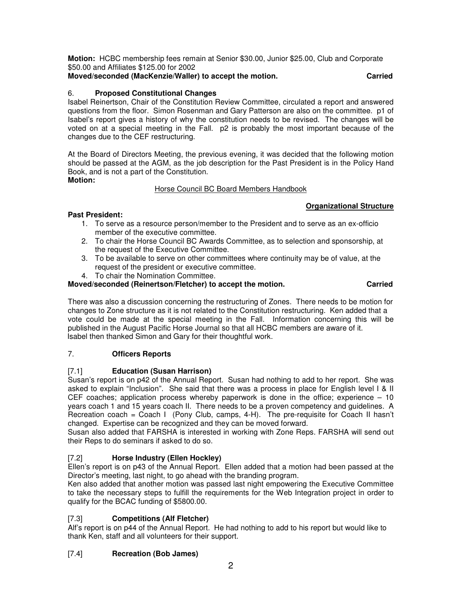**Motion:** HCBC membership fees remain at Senior \$30.00, Junior \$25.00, Club and Corporate \$50.00 and Affiliates \$125.00 for 2002

**Moved/seconded (MacKenzie/Waller) to accept the motion. Carried** 

# 6. **Proposed Constitutional Changes**

Isabel Reinertson, Chair of the Constitution Review Committee, circulated a report and answered questions from the floor. Simon Rosenman and Gary Patterson are also on the committee. p1 of Isabel's report gives a history of why the constitution needs to be revised. The changes will be voted on at a special meeting in the Fall. p2 is probably the most important because of the changes due to the CEF restructuring.

At the Board of Directors Meeting, the previous evening, it was decided that the following motion should be passed at the AGM, as the job description for the Past President is in the Policy Hand Book, and is not a part of the Constitution. **Motion:** 

## Horse Council BC Board Members Handbook

## **Organizational Structure**

## **Past President:**

- 1. To serve as a resource person/member to the President and to serve as an ex-officio member of the executive committee.
- 2. To chair the Horse Council BC Awards Committee, as to selection and sponsorship, at the request of the Executive Committee.
- 3. To be available to serve on other committees where continuity may be of value, at the request of the president or executive committee.
- 4. To chair the Nomination Committee.

## **Moved/seconded (Reinertson/Fletcher) to accept the motion. Carried**

There was also a discussion concerning the restructuring of Zones. There needs to be motion for changes to Zone structure as it is not related to the Constitution restructuring. Ken added that a vote could be made at the special meeting in the Fall. Information concerning this will be published in the August Pacific Horse Journal so that all HCBC members are aware of it. Isabel then thanked Simon and Gary for their thoughtful work.

## 7. **Officers Reports**

## [7.1] **Education (Susan Harrison)**

Susan's report is on p42 of the Annual Report. Susan had nothing to add to her report. She was asked to explain "Inclusion". She said that there was a process in place for English level I & II CEF coaches; application process whereby paperwork is done in the office; experience – 10 years coach 1 and 15 years coach II. There needs to be a proven competency and guidelines. A Recreation coach = Coach I (Pony Club, camps,  $4-H$ ). The pre-requisite for Coach II hasn't changed. Expertise can be recognized and they can be moved forward.

Susan also added that FARSHA is interested in working with Zone Reps. FARSHA will send out their Reps to do seminars if asked to do so.

# [7.2] **Horse Industry (Ellen Hockley)**

Ellen's report is on p43 of the Annual Report. Ellen added that a motion had been passed at the Director's meeting, last night, to go ahead with the branding program.

Ken also added that another motion was passed last night empowering the Executive Committee to take the necessary steps to fulfill the requirements for the Web Integration project in order to qualify for the BCAC funding of \$5800.00.

# [7.3] **Competitions (Alf Fletcher)**

Alf's report is on p44 of the Annual Report. He had nothing to add to his report but would like to thank Ken, staff and all volunteers for their support.

# [7.4] **Recreation (Bob James)**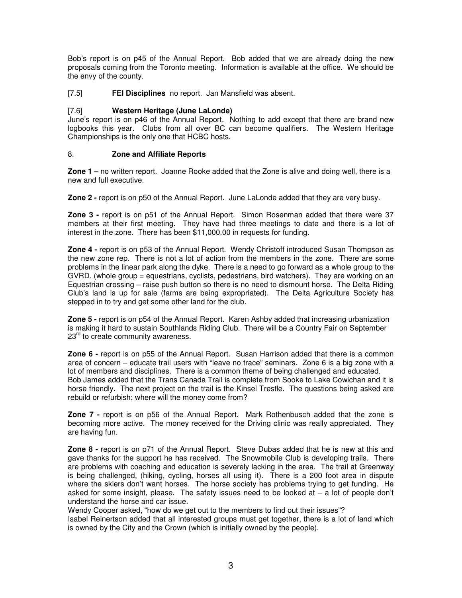Bob's report is on p45 of the Annual Report. Bob added that we are already doing the new proposals coming from the Toronto meeting. Information is available at the office. We should be the envy of the county.

[7.5] **FEI Disciplines** no report. Jan Mansfield was absent.

#### [7.6] **Western Heritage (June LaLonde)**

June's report is on p46 of the Annual Report. Nothing to add except that there are brand new logbooks this year. Clubs from all over BC can become qualifiers. The Western Heritage Championships is the only one that HCBC hosts.

#### 8. **Zone and Affiliate Reports**

**Zone 1 –** no written report. Joanne Rooke added that the Zone is alive and doing well, there is a new and full executive.

**Zone 2 -** report is on p50 of the Annual Report. June LaLonde added that they are very busy.

**Zone 3 -** report is on p51 of the Annual Report. Simon Rosenman added that there were 37 members at their first meeting. They have had three meetings to date and there is a lot of interest in the zone. There has been \$11,000.00 in requests for funding.

**Zone 4 -** report is on p53 of the Annual Report. Wendy Christoff introduced Susan Thompson as the new zone rep. There is not a lot of action from the members in the zone. There are some problems in the linear park along the dyke. There is a need to go forward as a whole group to the GVRD. (whole group = equestrians, cyclists, pedestrians, bird watchers). They are working on an Equestrian crossing – raise push button so there is no need to dismount horse. The Delta Riding Club's land is up for sale (farms are being expropriated). The Delta Agriculture Society has stepped in to try and get some other land for the club.

**Zone 5 -** report is on p54 of the Annual Report. Karen Ashby added that increasing urbanization is making it hard to sustain Southlands Riding Club. There will be a Country Fair on September 23<sup>rd</sup> to create community awareness.

**Zone 6** - report is on p55 of the Annual Report. Susan Harrison added that there is a common area of concern – educate trail users with "leave no trace" seminars. Zone 6 is a big zone with a lot of members and disciplines. There is a common theme of being challenged and educated. Bob James added that the Trans Canada Trail is complete from Sooke to Lake Cowichan and it is horse friendly. The next project on the trail is the Kinsel Trestle. The questions being asked are rebuild or refurbish; where will the money come from?

**Zone 7 -** report is on p56 of the Annual Report. Mark Rothenbusch added that the zone is becoming more active. The money received for the Driving clinic was really appreciated. They are having fun.

**Zone 8** - report is on p71 of the Annual Report. Steve Dubas added that he is new at this and gave thanks for the support he has received. The Snowmobile Club is developing trails. There are problems with coaching and education is severely lacking in the area. The trail at Greenway is being challenged, (hiking, cycling, horses all using it). There is a 200 foot area in dispute where the skiers don't want horses. The horse society has problems trying to get funding. He asked for some insight, please. The safety issues need to be looked at – a lot of people don't understand the horse and car issue.

Wendy Cooper asked, "how do we get out to the members to find out their issues"?

Isabel Reinertson added that all interested groups must get together, there is a lot of land which is owned by the City and the Crown (which is initially owned by the people).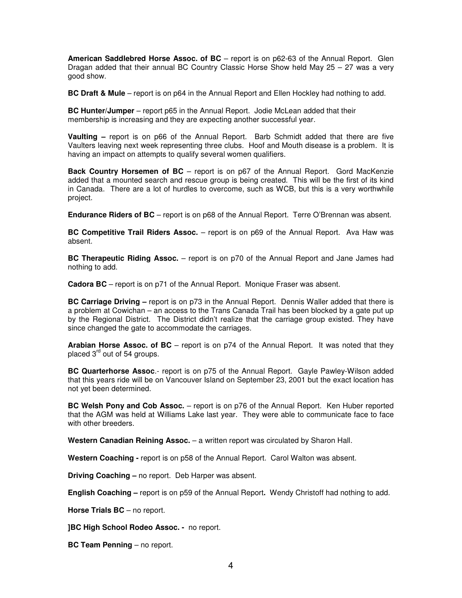**American Saddlebred Horse Assoc. of BC** – report is on p62-63 of the Annual Report. Glen Dragan added that their annual BC Country Classic Horse Show held May 25 – 27 was a very good show.

**BC Draft & Mule** – report is on p64 in the Annual Report and Ellen Hockley had nothing to add.

**BC Hunter/Jumper** – report p65 in the Annual Report. Jodie McLean added that their membership is increasing and they are expecting another successful year.

**Vaulting –** report is on p66 of the Annual Report. Barb Schmidt added that there are five Vaulters leaving next week representing three clubs. Hoof and Mouth disease is a problem. It is having an impact on attempts to qualify several women qualifiers.

**Back Country Horsemen of BC** – report is on p67 of the Annual Report. Gord MacKenzie added that a mounted search and rescue group is being created. This will be the first of its kind in Canada. There are a lot of hurdles to overcome, such as WCB, but this is a very worthwhile project.

**Endurance Riders of BC** – report is on p68 of the Annual Report. Terre O'Brennan was absent.

**BC Competitive Trail Riders Assoc.** – report is on p69 of the Annual Report. Ava Haw was absent.

**BC Therapeutic Riding Assoc.** – report is on p70 of the Annual Report and Jane James had nothing to add.

**Cadora BC** – report is on p71 of the Annual Report. Monique Fraser was absent.

**BC Carriage Driving –** report is on p73 in the Annual Report. Dennis Waller added that there is a problem at Cowichan – an access to the Trans Canada Trail has been blocked by a gate put up by the Regional District. The District didn't realize that the carriage group existed. They have since changed the gate to accommodate the carriages.

**Arabian Horse Assoc. of BC** – report is on p74 of the Annual Report. It was noted that they placed 3<sup>rd</sup> out of 54 groups.

**BC Quarterhorse Assoc**.- report is on p75 of the Annual Report. Gayle Pawley-Wilson added that this years ride will be on Vancouver Island on September 23, 2001 but the exact location has not yet been determined.

**BC Welsh Pony and Cob Assoc.** – report is on p76 of the Annual Report. Ken Huber reported that the AGM was held at Williams Lake last year. They were able to communicate face to face with other breeders.

**Western Canadian Reining Assoc.** – a written report was circulated by Sharon Hall.

**Western Coaching -** report is on p58 of the Annual Report. Carol Walton was absent.

**Driving Coaching –** no report. Deb Harper was absent.

**English Coaching –** report is on p59 of the Annual Report**.** Wendy Christoff had nothing to add.

**Horse Trials BC** – no report.

**]BC High School Rodeo Assoc. -** no report.

**BC Team Penning** – no report.